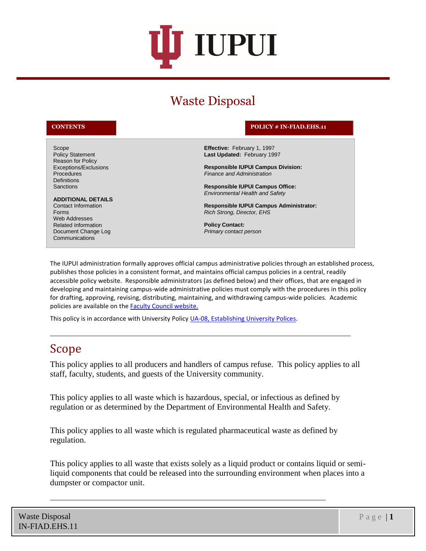

# Waste Disposal

Procedures **Definitions Sanctions** 

Policy Statement Reason for Policy Exceptions/Exclusions

**ADDITIONAL DETAILS** Contact Information

Scope

Forms Web Addresses Related Information Document Change Log **Communications** 

#### **CONTENTS POLICY # IN-FIAD.EHS.11**

**Effective:** February 1, 1997 **Last Updated:** February 1997

**Responsible IUPUI Campus Division:** *Finance and Administration*

**Responsible IUPUI Campus Office:** *Environmental Health and Safety*

**Responsible IUPUI Campus Administrator:** *Rich Strong, Director, EHS*

**Policy Contact:**  *Primary contact person* 

The IUPUI administration formally approves official campus administrative policies through an established process, publishes those policies in a consistent format, and maintains official campus policies in a central, readily accessible policy website. Responsible administrators (as defined below) and their offices, that are engaged in developing and maintaining campus-wide administrative policies must comply with the procedures in this policy for drafting, approving, revising, distributing, maintaining, and withdrawing campus-wide policies. Academic policies are available on the **Faculty Council website.** 

This policy is in accordance with University Policy [UA-08, Establishing University Polices.](http://policies.iu.edu/policies/categories/administration-operations/policy-admin/establishing-university-policies.shtml)

#### Scope

This policy applies to all producers and handlers of campus refuse. This policy applies to all staff, faculty, students, and guests of the University community.

This policy applies to all waste which is hazardous, special, or infectious as defined by regulation or as determined by the Department of Environmental Health and Safety.

This policy applies to all waste which is regulated pharmaceutical waste as defined by regulation.

This policy applies to all waste that exists solely as a liquid product or contains liquid or semiliquid components that could be released into the surrounding environment when places into a dumpster or compactor unit.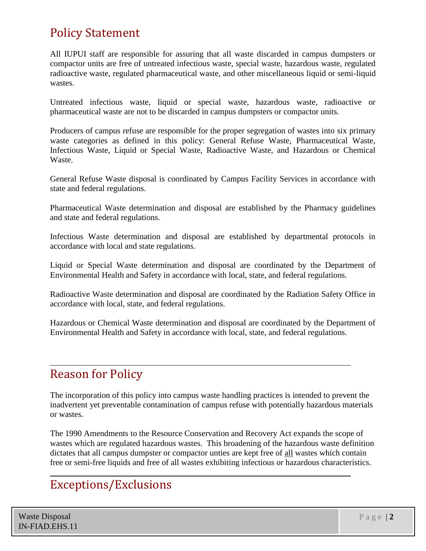# Policy Statement

All IUPUI staff are responsible for assuring that all waste discarded in campus dumpsters or compactor units are free of untreated infectious waste, special waste, hazardous waste, regulated radioactive waste, regulated pharmaceutical waste, and other miscellaneous liquid or semi-liquid wastes.

Untreated infectious waste, liquid or special waste, hazardous waste, radioactive or pharmaceutical waste are not to be discarded in campus dumpsters or compactor units.

Producers of campus refuse are responsible for the proper segregation of wastes into six primary waste categories as defined in this policy: General Refuse Waste, Pharmaceutical Waste, Infectious Waste, Liquid or Special Waste, Radioactive Waste, and Hazardous or Chemical Waste.

General Refuse Waste disposal is coordinated by Campus Facility Services in accordance with state and federal regulations.

Pharmaceutical Waste determination and disposal are established by the Pharmacy guidelines and state and federal regulations.

Infectious Waste determination and disposal are established by departmental protocols in accordance with local and state regulations.

Liquid or Special Waste determination and disposal are coordinated by the Department of Environmental Health and Safety in accordance with local, state, and federal regulations.

Radioactive Waste determination and disposal are coordinated by the Radiation Safety Office in accordance with local, state, and federal regulations.

Hazardous or Chemical Waste determination and disposal are coordinated by the Department of Environmental Health and Safety in accordance with local, state, and federal regulations.

### Reason for Policy

The incorporation of this policy into campus waste handling practices is intended to prevent the inadvertent yet preventable contamination of campus refuse with potentially hazardous materials or wastes.

The 1990 Amendments to the Resource Conservation and Recovery Act expands the scope of wastes which are regulated hazardous wastes. This broadening of the hazardous waste definition dictates that all campus dumpster or compactor unties are kept free of all wastes which contain free or semi-free liquids and free of all wastes exhibiting infectious or hazardous characteristics.

## Exceptions/Exclusions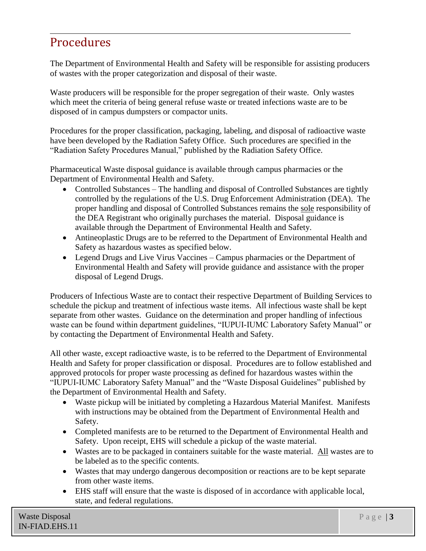# Procedures

The Department of Environmental Health and Safety will be responsible for assisting producers of wastes with the proper categorization and disposal of their waste.

Waste producers will be responsible for the proper segregation of their waste. Only wastes which meet the criteria of being general refuse waste or treated infections waste are to be disposed of in campus dumpsters or compactor units.

Procedures for the proper classification, packaging, labeling, and disposal of radioactive waste have been developed by the Radiation Safety Office. Such procedures are specified in the "Radiation Safety Procedures Manual," published by the Radiation Safety Office.

Pharmaceutical Waste disposal guidance is available through campus pharmacies or the Department of Environmental Health and Safety.

- Controlled Substances The handling and disposal of Controlled Substances are tightly controlled by the regulations of the U.S. Drug Enforcement Administration (DEA). The proper handling and disposal of Controlled Substances remains the sole responsibility of the DEA Registrant who originally purchases the material. Disposal guidance is available through the Department of Environmental Health and Safety.
- Antineoplastic Drugs are to be referred to the Department of Environmental Health and Safety as hazardous wastes as specified below.
- Legend Drugs and Live Virus Vaccines Campus pharmacies or the Department of Environmental Health and Safety will provide guidance and assistance with the proper disposal of Legend Drugs.

Producers of Infectious Waste are to contact their respective Department of Building Services to schedule the pickup and treatment of infectious waste items. All infectious waste shall be kept separate from other wastes. Guidance on the determination and proper handling of infectious waste can be found within department guidelines, "IUPUI-IUMC Laboratory Safety Manual" or by contacting the Department of Environmental Health and Safety.

All other waste, except radioactive waste, is to be referred to the Department of Environmental Health and Safety for proper classification or disposal. Procedures are to follow established and approved protocols for proper waste processing as defined for hazardous wastes within the "IUPUI-IUMC Laboratory Safety Manual" and the "Waste Disposal Guidelines" published by the Department of Environmental Health and Safety.

- Waste pickup will be initiated by completing a Hazardous Material Manifest. Manifests with instructions may be obtained from the Department of Environmental Health and Safety.
- Completed manifests are to be returned to the Department of Environmental Health and Safety. Upon receipt, EHS will schedule a pickup of the waste material.
- Wastes are to be packaged in containers suitable for the waste material. All wastes are to be labeled as to the specific contents.
- Wastes that may undergo dangerous decomposition or reactions are to be kept separate from other waste items.
- EHS staff will ensure that the waste is disposed of in accordance with applicable local, state, and federal regulations.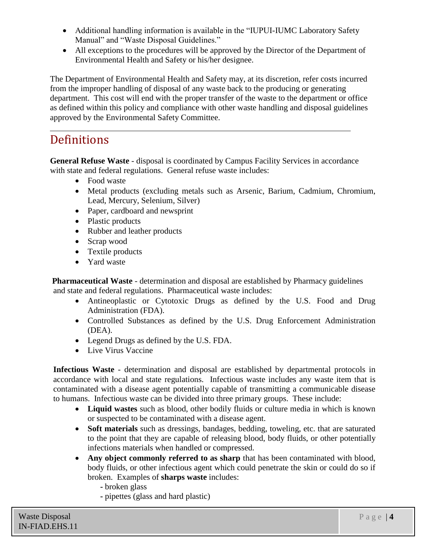- Additional handling information is available in the "IUPUI-IUMC Laboratory Safety Manual" and "Waste Disposal Guidelines."
- All exceptions to the procedures will be approved by the Director of the Department of Environmental Health and Safety or his/her designee.

The Department of Environmental Health and Safety may, at its discretion, refer costs incurred from the improper handling of disposal of any waste back to the producing or generating department. This cost will end with the proper transfer of the waste to the department or office as defined within this policy and compliance with other waste handling and disposal guidelines approved by the Environmental Safety Committee.

### **Definitions**

**General Refuse Waste** - disposal is coordinated by Campus Facility Services in accordance with state and federal regulations. General refuse waste includes:

- Food waste
- Metal products (excluding metals such as Arsenic, Barium, Cadmium, Chromium, Lead, Mercury, Selenium, Silver)
- Paper, cardboard and newsprint
- Plastic products
- Rubber and leather products
- Scrap wood
- Textile products
- Yard waste

**Pharmaceutical Waste** - determination and disposal are established by Pharmacy guidelines and state and federal regulations. Pharmaceutical waste includes:

- Antineoplastic or Cytotoxic Drugs as defined by the U.S. Food and Drug Administration (FDA).
- Controlled Substances as defined by the U.S. Drug Enforcement Administration (DEA).
- Legend Drugs as defined by the U.S. FDA.
- Live Virus Vaccine

**Infectious Waste** - determination and disposal are established by departmental protocols in accordance with local and state regulations. Infectious waste includes any waste item that is contaminated with a disease agent potentially capable of transmitting a communicable disease to humans. Infectious waste can be divided into three primary groups. These include:

- **Liquid wastes** such as blood, other bodily fluids or culture media in which is known or suspected to be contaminated with a disease agent.
- **Soft materials** such as dressings, bandages, bedding, toweling, etc. that are saturated to the point that they are capable of releasing blood, body fluids, or other potentially infections materials when handled or compressed.
- Any object commonly referred to as sharp that has been contaminated with blood, body fluids, or other infectious agent which could penetrate the skin or could do so if broken. Examples of **sharps waste** includes:
	- **-** broken glass
	- **-** pipettes (glass and hard plastic)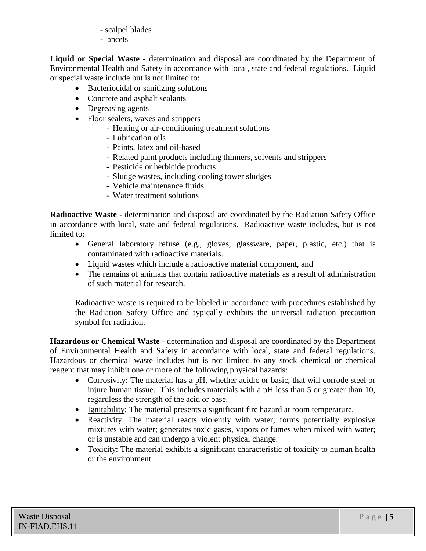- **-** scalpel blades
- **-** lancets

**Liquid or Special Waste** - determination and disposal are coordinated by the Department of Environmental Health and Safety in accordance with local, state and federal regulations. Liquid or special waste include but is not limited to:

- Bacteriocidal or sanitizing solutions
- Concrete and asphalt sealants
- Degreasing agents
- Floor sealers, waxes and strippers
	- Heating or air-conditioning treatment solutions
	- Lubrication oils
	- Paints, latex and oil-based
	- Related paint products including thinners, solvents and strippers
	- Pesticide or herbicide products
	- Sludge wastes, including cooling tower sludges
	- Vehicle maintenance fluids
	- Water treatment solutions

**Radioactive Waste** - determination and disposal are coordinated by the Radiation Safety Office in accordance with local, state and federal regulations. Radioactive waste includes, but is not limited to:

- General laboratory refuse (e.g., gloves, glassware, paper, plastic, etc.) that is contaminated with radioactive materials.
- Liquid wastes which include a radioactive material component, and
- The remains of animals that contain radioactive materials as a result of administration of such material for research.

Radioactive waste is required to be labeled in accordance with procedures established by the Radiation Safety Office and typically exhibits the universal radiation precaution symbol for radiation.

**Hazardous or Chemical Waste** - determination and disposal are coordinated by the Department of Environmental Health and Safety in accordance with local, state and federal regulations. Hazardous or chemical waste includes but is not limited to any stock chemical or chemical reagent that may inhibit one or more of the following physical hazards:

- Corrosivity: The material has a pH, whether acidic or basic, that will corrode steel or injure human tissue. This includes materials with a pH less than 5 or greater than 10, regardless the strength of the acid or base.
- Ignitability: The material presents a significant fire hazard at room temperature.
- Reactivity: The material reacts violently with water; forms potentially explosive mixtures with water; generates toxic gases, vapors or fumes when mixed with water; or is unstable and can undergo a violent physical change.
- Toxicity: The material exhibits a significant characteristic of toxicity to human health or the environment.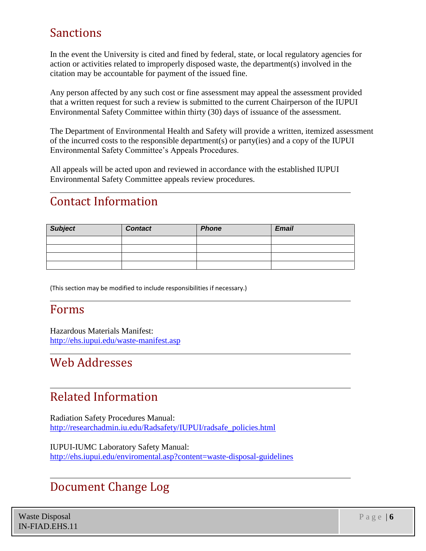# Sanctions

In the event the University is cited and fined by federal, state, or local regulatory agencies for action or activities related to improperly disposed waste, the department(s) involved in the citation may be accountable for payment of the issued fine.

Any person affected by any such cost or fine assessment may appeal the assessment provided that a written request for such a review is submitted to the current Chairperson of the IUPUI Environmental Safety Committee within thirty (30) days of issuance of the assessment.

The Department of Environmental Health and Safety will provide a written, itemized assessment of the incurred costs to the responsible department(s) or party(ies) and a copy of the IUPUI Environmental Safety Committee's Appeals Procedures.

All appeals will be acted upon and reviewed in accordance with the established IUPUI Environmental Safety Committee appeals review procedures.

# Contact Information

| <b>Subject</b> | <b>Contact</b> | <b>Phone</b> | <b>Email</b> |
|----------------|----------------|--------------|--------------|
|                |                |              |              |
|                |                |              |              |
|                |                |              |              |
|                |                |              |              |

(This section may be modified to include responsibilities if necessary.)

### Forms

Hazardous Materials Manifest: <http://ehs.iupui.edu/waste-manifest.asp>

# Web Addresses

# Related Information

Radiation Safety Procedures Manual: [http://researchadmin.iu.edu/Radsafety/IUPUI/radsafe\\_policies.html](http://researchadmin.iu.edu/Radsafety/IUPUI/radsafe_policies.html)

IUPUI-IUMC Laboratory Safety Manual: <http://ehs.iupui.edu/enviromental.asp?content=waste-disposal-guidelines>

### Document Change Log

Waste Disposal IN-FIAD.EHS.11